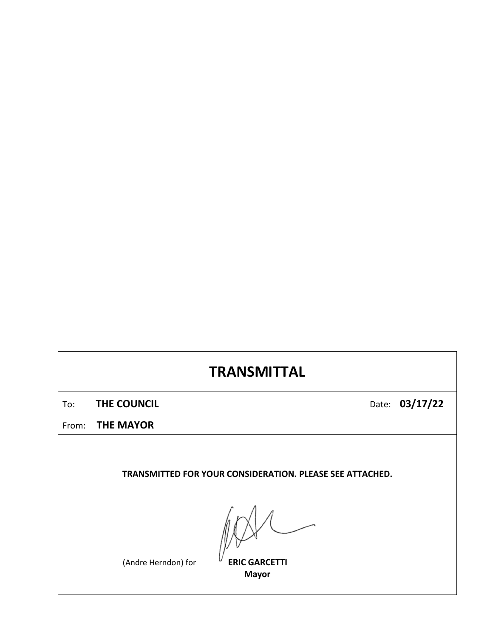## **TRANSMITTAL**

To: **THE COUNCIL Date: 03/17/22** 

From: **THE MAYOR**

**TRANSMITTED FOR YOUR CONSIDERATION. PLEASE SEE ATTACHED.**

(Andre Herndon) for **ERIC GARCETTI**

**Mayor**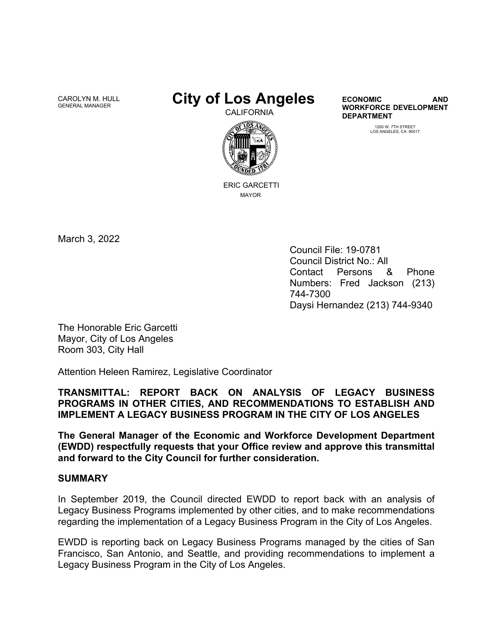CAROLYN M. HULL<br>GENERAL MANAGER

# **City of Los Angeles** ECONOMIC AND

**CALIFORNIA** 



 ERIC GARCETTIMAYOR

**ECONOMIC WORKFORCE DEVELOPMENT DEPARTMENT**

1200 W. 7TH STREET LOS ANGELES, CA 90017

March 3, 2022

Council File: 19-0781 Council District No.: All Contact Persons & Phone Numbers: Fred Jackson (213) 744-7300 Daysi Hernandez (213) 744-9340

The Honorable Eric Garcetti Mayor, City of Los Angeles Room 303, City Hall

Attention Heleen Ramirez, Legislative Coordinator

#### **TRANSMITTAL: REPORT BACK ON ANALYSIS OF LEGACY BUSINESS PROGRAMS IN OTHER CITIES, AND RECOMMENDATIONS TO ESTABLISH AND IMPLEMENT A LEGACY BUSINESS PROGRAM IN THE CITY OF LOS ANGELES**

**The General Manager of the Economic and Workforce Development Department (EWDD) respectfully requests that your Office review and approve this transmittal and forward to the City Council for further consideration.**

#### **SUMMARY**

In September 2019, the Council directed EWDD to report back with an analysis of Legacy Business Programs implemented by other cities, and to make recommendations regarding the implementation of a Legacy Business Program in the City of Los Angeles.

EWDD is reporting back on Legacy Business Programs managed by the cities of San Francisco, San Antonio, and Seattle, and providing recommendations to implement a Legacy Business Program in the City of Los Angeles.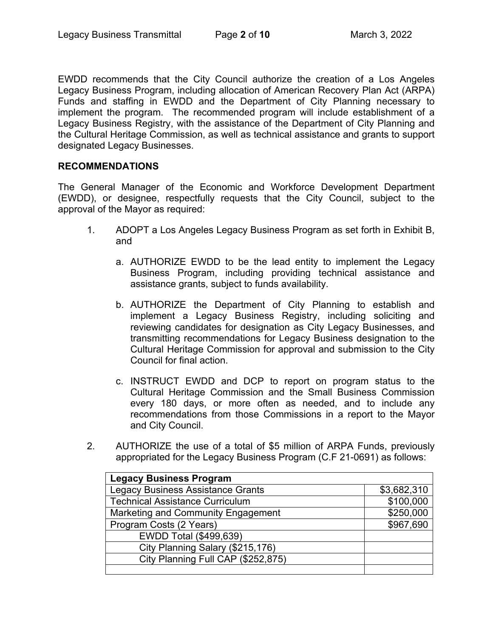EWDD recommends that the City Council authorize the creation of a Los Angeles Legacy Business Program, including allocation of American Recovery Plan Act (ARPA) Funds and staffing in EWDD and the Department of City Planning necessary to implement the program. The recommended program will include establishment of a Legacy Business Registry, with the assistance of the Department of City Planning and the Cultural Heritage Commission, as well as technical assistance and grants to support designated Legacy Businesses.

## **RECOMMENDATIONS**

The General Manager of the Economic and Workforce Development Department (EWDD), or designee, respectfully requests that the City Council, subject to the approval of the Mayor as required:

- 1. ADOPT a Los Angeles Legacy Business Program as set forth in Exhibit B, and
	- a. AUTHORIZE EWDD to be the lead entity to implement the Legacy Business Program, including providing technical assistance and assistance grants, subject to funds availability.
	- b. AUTHORIZE the Department of City Planning to establish and implement a Legacy Business Registry, including soliciting and reviewing candidates for designation as City Legacy Businesses, and transmitting recommendations for Legacy Business designation to the Cultural Heritage Commission for approval and submission to the City Council for final action.
	- c. INSTRUCT EWDD and DCP to report on program status to the Cultural Heritage Commission and the Small Business Commission every 180 days, or more often as needed, and to include any recommendations from those Commissions in a report to the Mayor and City Council.
- 2. AUTHORIZE the use of a total of \$5 million of ARPA Funds, previously appropriated for the Legacy Business Program (C.F 21-0691) as follows:

| <b>Legacy Business Program</b>           |             |
|------------------------------------------|-------------|
| <b>Legacy Business Assistance Grants</b> | \$3,682,310 |
| <b>Technical Assistance Curriculum</b>   | \$100,000   |
| Marketing and Community Engagement       | \$250,000   |
| Program Costs (2 Years)                  | \$967,690   |
| EWDD Total (\$499,639)                   |             |
| City Planning Salary (\$215,176)         |             |
| City Planning Full CAP (\$252,875)       |             |
|                                          |             |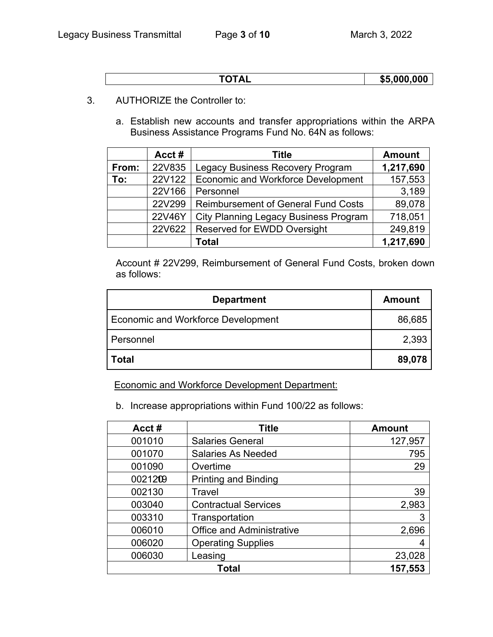| -----<br>.000.000<br><u>ег</u><br>- 3357<br>. |
|-----------------------------------------------|
|-----------------------------------------------|

- 3. AUTHORIZE the Controller to:
	- a. Establish new accounts and transfer appropriations within the ARPA Business Assistance Programs Fund No. 64N as follows:

|       | Acct#  | Title                                        | <b>Amount</b> |
|-------|--------|----------------------------------------------|---------------|
| From: | 22V835 | Legacy Business Recovery Program             | 1,217,690     |
| To:   | 22V122 | Economic and Workforce Development           | 157,553       |
|       | 22V166 | Personnel                                    | 3,189         |
|       | 22V299 | <b>Reimbursement of General Fund Costs</b>   | 89,078        |
|       | 22V46Y | <b>City Planning Legacy Business Program</b> | 718,051       |
|       | 22V622 | Reserved for EWDD Oversight                  | 249,819       |
|       |        | Total                                        | 1,217,690     |

Account # 22V299, Reimbursement of General Fund Costs, broken down as follows:

| <b>Department</b>                         | <b>Amount</b> |
|-------------------------------------------|---------------|
| <b>Economic and Workforce Development</b> | 86,685        |
| Personnel                                 | 2,393         |
| <b>Total</b>                              | 89,078        |

Economic and Workforce Development Department:

b. Increase appropriations within Fund 100/22 as follows:

| Acct $#$ | <b>Title</b>                     | <b>Amount</b> |
|----------|----------------------------------|---------------|
| 001010   | <b>Salaries General</b>          | 127,957       |
| 001070   | Salaries As Needed               | 795           |
| 001090   | Overtime                         | 29            |
| 0021209  | <b>Printing and Binding</b>      |               |
| 002130   | Travel                           | 39            |
| 003040   | <b>Contractual Services</b>      | 2,983         |
| 003310   | Transportation                   | 3             |
| 006010   | <b>Office and Administrative</b> | 2,696         |
| 006020   | <b>Operating Supplies</b>        | 4             |
| 006030   | Leasing                          | 23,028        |
|          | <b>Total</b>                     | 157,553       |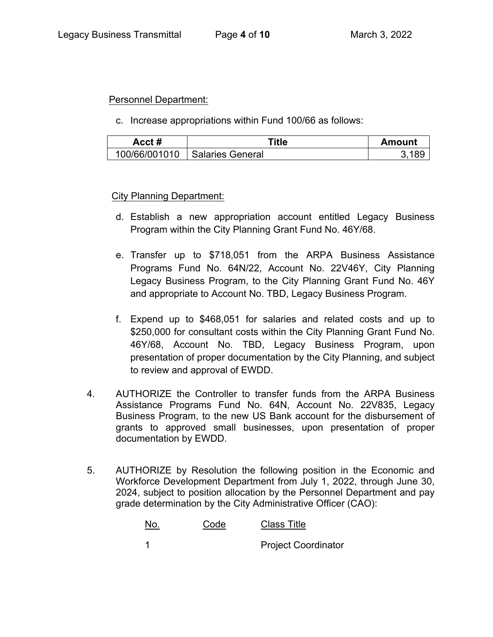## Personnel Department:

c. Increase appropriations within Fund 100/66 as follows:

| - 44<br>Acct # | Title                      | Amount          |
|----------------|----------------------------|-----------------|
| 100/66/001010  | <b>Salaries</b><br>General | .oo<br>oಆ<br>J, |

## City Planning Department:

- d. Establish a new appropriation account entitled Legacy Business Program within the City Planning Grant Fund No. 46Y/68.
- e. Transfer up to \$718,051 from the ARPA Business Assistance Programs Fund No. 64N/22, Account No. 22V46Y, City Planning Legacy Business Program, to the City Planning Grant Fund No. 46Y and appropriate to Account No. TBD, Legacy Business Program.
- f. Expend up to \$468,051 for salaries and related costs and up to \$250,000 for consultant costs within the City Planning Grant Fund No. 46Y/68, Account No. TBD, Legacy Business Program, upon presentation of proper documentation by the City Planning, and subject to review and approval of EWDD.
- 4. AUTHORIZE the Controller to transfer funds from the ARPA Business Assistance Programs Fund No. 64N, Account No. 22V835, Legacy Business Program, to the new US Bank account for the disbursement of grants to approved small businesses, upon presentation of proper documentation by EWDD.
- 5. AUTHORIZE by Resolution the following position in the Economic and Workforce Development Department from July 1, 2022, through June 30, 2024, subject to position allocation by the Personnel Department and pay grade determination by the City Administrative Officer (CAO):

| <u>No.</u> | Code | <b>Class Title</b>         |  |
|------------|------|----------------------------|--|
|            |      | <b>Project Coordinator</b> |  |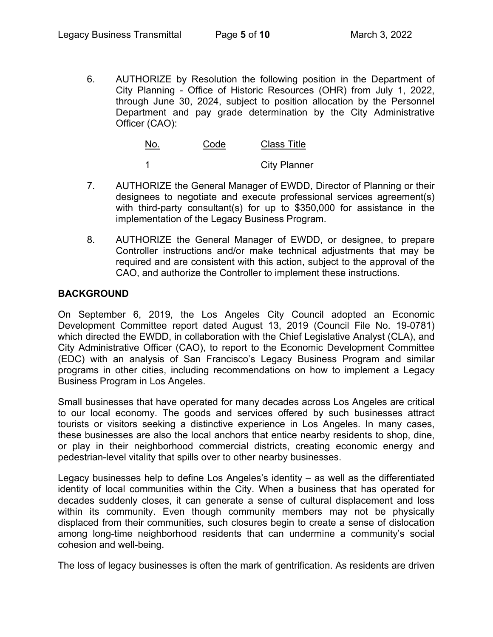6. AUTHORIZE by Resolution the following position in the Department of City Planning - Office of Historic Resources (OHR) from July 1, 2022, through June 30, 2024, subject to position allocation by the Personnel Department and pay grade determination by the City Administrative Officer (CAO):

> No. Code Class Title 1 City Planner

- 7. AUTHORIZE the General Manager of EWDD, Director of Planning or their designees to negotiate and execute professional services agreement(s) with third-party consultant(s) for up to \$350,000 for assistance in the implementation of the Legacy Business Program.
- 8. AUTHORIZE the General Manager of EWDD, or designee, to prepare Controller instructions and/or make technical adjustments that may be required and are consistent with this action, subject to the approval of the CAO, and authorize the Controller to implement these instructions.

#### **BACKGROUND**

On September 6, 2019, the Los Angeles City Council adopted an Economic Development Committee report dated August 13, 2019 (Council File No. 19-0781) which directed the EWDD, in collaboration with the Chief Legislative Analyst (CLA), and City Administrative Officer (CAO), to report to the Economic Development Committee (EDC) with an analysis of San Francisco's Legacy Business Program and similar programs in other cities, including recommendations on how to implement a Legacy Business Program in Los Angeles.

Small businesses that have operated for many decades across Los Angeles are critical to our local economy. The goods and services offered by such businesses attract tourists or visitors seeking a distinctive experience in Los Angeles. In many cases, these businesses are also the local anchors that entice nearby residents to shop, dine, or play in their neighborhood commercial districts, creating economic energy and pedestrian-level vitality that spills over to other nearby businesses.

Legacy businesses help to define Los Angeles's identity – as well as the differentiated identity of local communities within the City. When a business that has operated for decades suddenly closes, it can generate a sense of cultural displacement and loss within its community. Even though community members may not be physically displaced from their communities, such closures begin to create a sense of dislocation among long-time neighborhood residents that can undermine a community's social cohesion and well-being.

The loss of legacy businesses is often the mark of gentrification. As residents are driven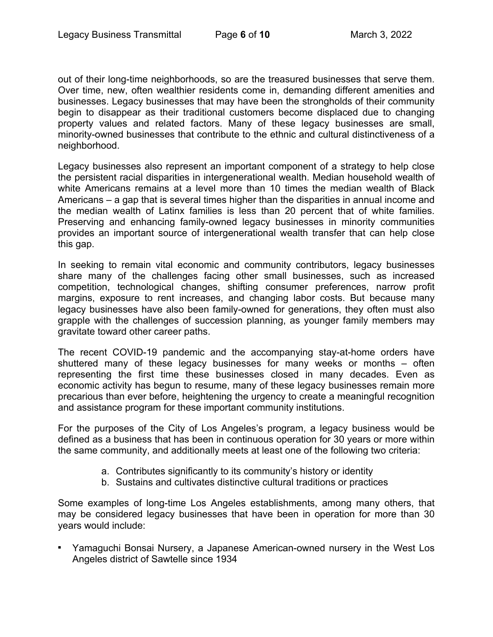out of their long-time neighborhoods, so are the treasured businesses that serve them. Over time, new, often wealthier residents come in, demanding different amenities and businesses. Legacy businesses that may have been the strongholds of their community begin to disappear as their traditional customers become displaced due to changing property values and related factors. Many of these legacy businesses are small, minority-owned businesses that contribute to the ethnic and cultural distinctiveness of a neighborhood.

Legacy businesses also represent an important component of a strategy to help close the persistent racial disparities in intergenerational wealth. Median household wealth of white Americans remains at a level more than 10 times the median wealth of Black Americans – a gap that is several times higher than the disparities in annual income and the median wealth of Latinx families is less than 20 percent that of white families. Preserving and enhancing family-owned legacy businesses in minority communities provides an important source of intergenerational wealth transfer that can help close this gap.

In seeking to remain vital economic and community contributors, legacy businesses share many of the challenges facing other small businesses, such as increased competition, technological changes, shifting consumer preferences, narrow profit margins, exposure to rent increases, and changing labor costs. But because many legacy businesses have also been family-owned for generations, they often must also grapple with the challenges of succession planning, as younger family members may gravitate toward other career paths.

The recent COVID-19 pandemic and the accompanying stay-at-home orders have shuttered many of these legacy businesses for many weeks or months – often representing the first time these businesses closed in many decades. Even as economic activity has begun to resume, many of these legacy businesses remain more precarious than ever before, heightening the urgency to create a meaningful recognition and assistance program for these important community institutions.

For the purposes of the City of Los Angeles's program, a legacy business would be defined as a business that has been in continuous operation for 30 years or more within the same community, and additionally meets at least one of the following two criteria:

- a. Contributes significantly to its community's history or identity
- b. Sustains and cultivates distinctive cultural traditions or practices

Some examples of long-time Los Angeles establishments, among many others, that may be considered legacy businesses that have been in operation for more than 30 years would include:

▪ Yamaguchi Bonsai Nursery, a Japanese American-owned nursery in the West Los Angeles district of Sawtelle since 1934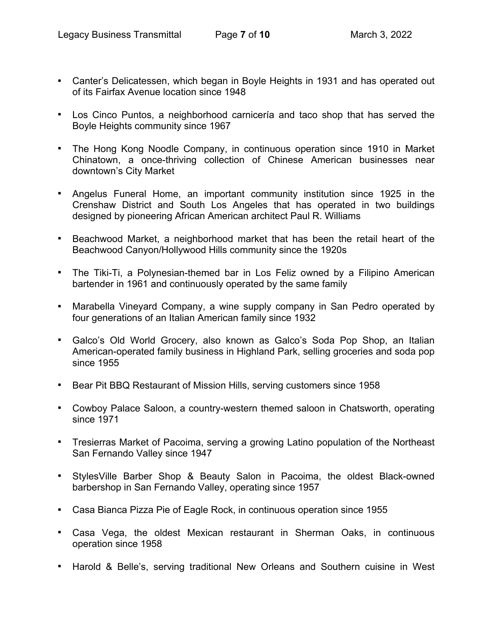- Canter's Delicatessen, which began in Boyle Heights in 1931 and has operated out of its Fairfax Avenue location since 1948
- Los Cinco Puntos, a neighborhood carnicería and taco shop that has served the Boyle Heights community since 1967
- The Hong Kong Noodle Company, in continuous operation since 1910 in Market Chinatown, a once-thriving collection of Chinese American businesses near downtown's City Market
- Angelus Funeral Home, an important community institution since 1925 in the Crenshaw District and South Los Angeles that has operated in two buildings designed by pioneering African American architect Paul R. Williams
- Beachwood Market, a neighborhood market that has been the retail heart of the Beachwood Canyon/Hollywood Hills community since the 1920s
- The Tiki-Ti, a Polynesian-themed bar in Los Feliz owned by a Filipino American bartender in 1961 and continuously operated by the same family
- Marabella Vineyard Company, a wine supply company in San Pedro operated by four generations of an Italian American family since 1932
- Galco's Old World Grocery, also known as Galco's Soda Pop Shop, an Italian American-operated family business in Highland Park, selling groceries and soda pop since 1955
- Bear Pit BBQ Restaurant of Mission Hills, serving customers since 1958
- Cowboy Palace Saloon, a country-western themed saloon in Chatsworth, operating since 1971
- Tresierras Market of Pacoima, serving a growing Latino population of the Northeast San Fernando Valley since 1947
- StylesVille Barber Shop & Beauty Salon in Pacoima, the oldest Black-owned barbershop in San Fernando Valley, operating since 1957
- Casa Bianca Pizza Pie of Eagle Rock, in continuous operation since 1955
- Casa Vega, the oldest Mexican restaurant in Sherman Oaks, in continuous operation since 1958
- Harold & Belle's, serving traditional New Orleans and Southern cuisine in West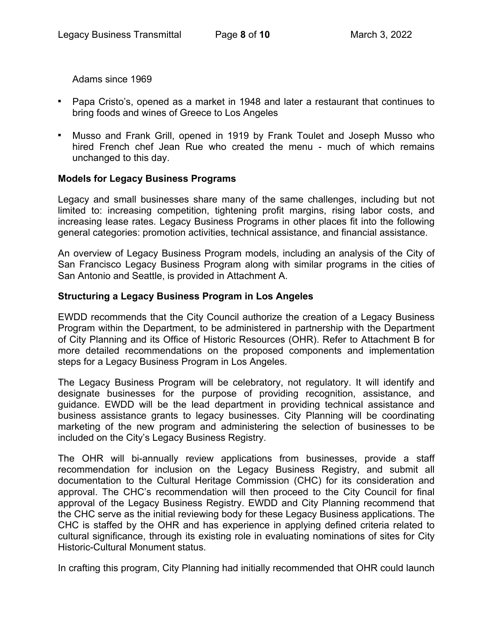Adams since 1969

- Papa Cristo's, opened as a market in 1948 and later a restaurant that continues to bring foods and wines of Greece to Los Angeles
- Musso and Frank Grill, opened in 1919 by Frank Toulet and Joseph Musso who hired French chef Jean Rue who created the menu - much of which remains unchanged to this day.

#### **Models for Legacy Business Programs**

Legacy and small businesses share many of the same challenges, including but not limited to: increasing competition, tightening profit margins, rising labor costs, and increasing lease rates. Legacy Business Programs in other places fit into the following general categories: promotion activities, technical assistance, and financial assistance.

An overview of Legacy Business Program models, including an analysis of the City of San Francisco Legacy Business Program along with similar programs in the cities of San Antonio and Seattle, is provided in Attachment A.

#### **Structuring a Legacy Business Program in Los Angeles**

EWDD recommends that the City Council authorize the creation of a Legacy Business Program within the Department, to be administered in partnership with the Department of City Planning and its Office of Historic Resources (OHR). Refer to Attachment B for more detailed recommendations on the proposed components and implementation steps for a Legacy Business Program in Los Angeles.

The Legacy Business Program will be celebratory, not regulatory. It will identify and designate businesses for the purpose of providing recognition, assistance, and guidance. EWDD will be the lead department in providing technical assistance and business assistance grants to legacy businesses. City Planning will be coordinating marketing of the new program and administering the selection of businesses to be included on the City's Legacy Business Registry.

The OHR will bi-annually review applications from businesses, provide a staff recommendation for inclusion on the Legacy Business Registry, and submit all documentation to the Cultural Heritage Commission (CHC) for its consideration and approval. The CHC's recommendation will then proceed to the City Council for final approval of the Legacy Business Registry. EWDD and City Planning recommend that the CHC serve as the initial reviewing body for these Legacy Business applications. The CHC is staffed by the OHR and has experience in applying defined criteria related to cultural significance, through its existing role in evaluating nominations of sites for City Historic-Cultural Monument status.

In crafting this program, City Planning had initially recommended that OHR could launch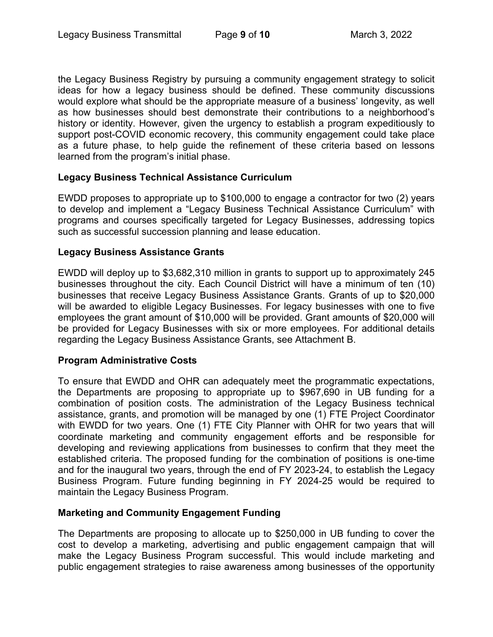the Legacy Business Registry by pursuing a community engagement strategy to solicit ideas for how a legacy business should be defined. These community discussions would explore what should be the appropriate measure of a business' longevity, as well as how businesses should best demonstrate their contributions to a neighborhood's history or identity. However, given the urgency to establish a program expeditiously to support post-COVID economic recovery, this community engagement could take place as a future phase, to help guide the refinement of these criteria based on lessons learned from the program's initial phase.

#### **Legacy Business Technical Assistance Curriculum**

EWDD proposes to appropriate up to \$100,000 to engage a contractor for two (2) years to develop and implement a "Legacy Business Technical Assistance Curriculum" with programs and courses specifically targeted for Legacy Businesses, addressing topics such as successful succession planning and lease education.

#### **Legacy Business Assistance Grants**

EWDD will deploy up to \$3,682,310 million in grants to support up to approximately 245 businesses throughout the city. Each Council District will have a minimum of ten (10) businesses that receive Legacy Business Assistance Grants. Grants of up to \$20,000 will be awarded to eligible Legacy Businesses. For legacy businesses with one to five employees the grant amount of \$10,000 will be provided. Grant amounts of \$20,000 will be provided for Legacy Businesses with six or more employees. For additional details regarding the Legacy Business Assistance Grants, see Attachment B.

#### **Program Administrative Costs**

To ensure that EWDD and OHR can adequately meet the programmatic expectations, the Departments are proposing to appropriate up to \$967,690 in UB funding for a combination of position costs. The administration of the Legacy Business technical assistance, grants, and promotion will be managed by one (1) FTE Project Coordinator with EWDD for two years. One (1) FTE City Planner with OHR for two years that will coordinate marketing and community engagement efforts and be responsible for developing and reviewing applications from businesses to confirm that they meet the established criteria. The proposed funding for the combination of positions is one-time and for the inaugural two years, through the end of FY 2023-24, to establish the Legacy Business Program. Future funding beginning in FY 2024-25 would be required to maintain the Legacy Business Program.

#### **Marketing and Community Engagement Funding**

The Departments are proposing to allocate up to \$250,000 in UB funding to cover the cost to develop a marketing, advertising and public engagement campaign that will make the Legacy Business Program successful. This would include marketing and public engagement strategies to raise awareness among businesses of the opportunity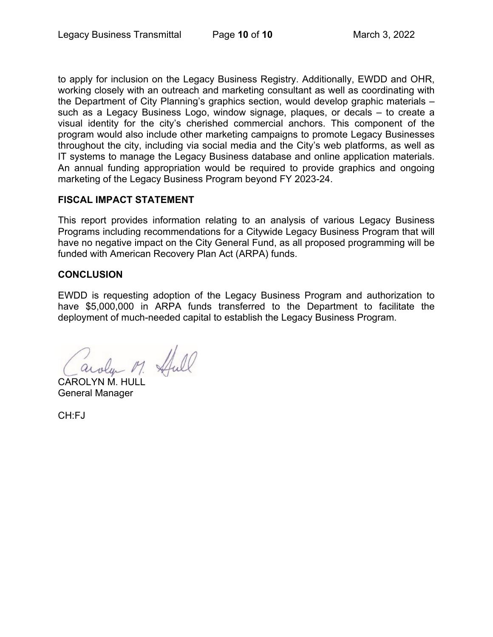to apply for inclusion on the Legacy Business Registry. Additionally, EWDD and OHR, working closely with an outreach and marketing consultant as well as coordinating with the Department of City Planning's graphics section, would develop graphic materials – such as a Legacy Business Logo, window signage, plaques, or decals – to create a visual identity for the city's cherished commercial anchors. This component of the program would also include other marketing campaigns to promote Legacy Businesses throughout the city, including via social media and the City's web platforms, as well as IT systems to manage the Legacy Business database and online application materials. An annual funding appropriation would be required to provide graphics and ongoing marketing of the Legacy Business Program beyond FY 2023-24.

#### **FISCAL IMPACT STATEMENT**

This report provides information relating to an analysis of various Legacy Business Programs including recommendations for a Citywide Legacy Business Program that will have no negative impact on the City General Fund, as all proposed programming will be funded with American Recovery Plan Act (ARPA) funds.

#### **CONCLUSION**

EWDD is requesting adoption of the Legacy Business Program and authorization to have \$5,000,000 in ARPA funds transferred to the Department to facilitate the deployment of much-needed capital to establish the Legacy Business Program.

arden M. Hull

CAROLYN M. HULL General Manager

CH:FJ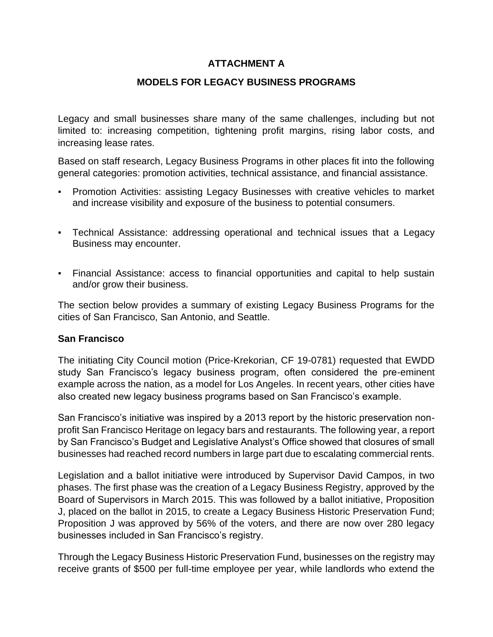## **ATTACHMENT A**

## **MODELS FOR LEGACY BUSINESS PROGRAMS**

Legacy and small businesses share many of the same challenges, including but not limited to: increasing competition, tightening profit margins, rising labor costs, and increasing lease rates.

Based on staff research, Legacy Business Programs in other places fit into the following general categories: promotion activities, technical assistance, and financial assistance.

- Promotion Activities: assisting Legacy Businesses with creative vehicles to market and increase visibility and exposure of the business to potential consumers.
- Technical Assistance: addressing operational and technical issues that a Legacy Business may encounter.
- Financial Assistance: access to financial opportunities and capital to help sustain and/or grow their business.

The section below provides a summary of existing Legacy Business Programs for the cities of San Francisco, San Antonio, and Seattle.

#### **San Francisco**

The initiating City Council motion (Price-Krekorian, CF 19-0781) requested that EWDD study San Francisco's legacy business program, often considered the pre-eminent example across the nation, as a model for Los Angeles. In recent years, other cities have also created new legacy business programs based on San Francisco's example.

San Francisco's initiative was inspired by a 2013 report by the historic preservation nonprofit San Francisco Heritage on legacy bars and restaurants. The following year, a report by San Francisco's Budget and Legislative Analyst's Office showed that closures of small businesses had reached record numbers in large part due to escalating commercial rents.

Legislation and a ballot initiative were introduced by Supervisor David Campos, in two phases. The first phase was the creation of a Legacy Business Registry, approved by the Board of Supervisors in March 2015. This was followed by a ballot initiative, Proposition J, placed on the ballot in 2015, to create a Legacy Business Historic Preservation Fund; Proposition J was approved by 56% of the voters, and there are now over 280 legacy businesses included in San Francisco's registry.

Through the Legacy Business Historic Preservation Fund, businesses on the registry may receive grants of \$500 per full-time employee per year, while landlords who extend the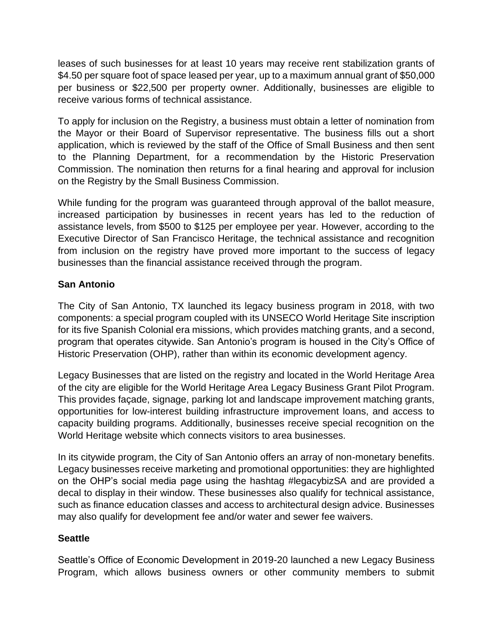leases of such businesses for at least 10 years may receive rent stabilization grants of \$4.50 per square foot of space leased per year, up to a maximum annual grant of \$50,000 per business or \$22,500 per property owner. Additionally, businesses are eligible to receive various forms of technical assistance.

To apply for inclusion on the Registry, a business must obtain a letter of nomination from the Mayor or their Board of Supervisor representative. The business fills out a short application, which is reviewed by the staff of the Office of Small Business and then sent to the Planning Department, for a recommendation by the Historic Preservation Commission. The nomination then returns for a final hearing and approval for inclusion on the Registry by the Small Business Commission.

While funding for the program was guaranteed through approval of the ballot measure, increased participation by businesses in recent years has led to the reduction of assistance levels, from \$500 to \$125 per employee per year. However, according to the Executive Director of San Francisco Heritage, the technical assistance and recognition from inclusion on the registry have proved more important to the success of legacy businesses than the financial assistance received through the program.

## **San Antonio**

The City of San Antonio, TX launched its legacy business program in 2018, with two components: a special program coupled with its UNSECO World Heritage Site inscription for its five Spanish Colonial era missions, which provides matching grants, and a second, program that operates citywide. San Antonio's program is housed in the City's Office of Historic Preservation (OHP), rather than within its economic development agency.

Legacy Businesses that are listed on the registry and located in the World Heritage Area of the city are eligible for the World Heritage Area Legacy Business Grant Pilot Program. This provides façade, signage, parking lot and landscape improvement matching grants, opportunities for low-interest building infrastructure improvement loans, and access to capacity building programs. Additionally, businesses receive special recognition on the World Heritage website which connects visitors to area businesses.

In its citywide program, the City of San Antonio offers an array of non-monetary benefits. Legacy businesses receive marketing and promotional opportunities: they are highlighted on the OHP's social media page using the hashtag #legacybizSA and are provided a decal to display in their window. These businesses also qualify for technical assistance, such as finance education classes and access to architectural design advice. Businesses may also qualify for development fee and/or water and sewer fee waivers.

## **Seattle**

Seattle's Office of Economic Development in 2019-20 launched a new Legacy Business Program, which allows business owners or other community members to submit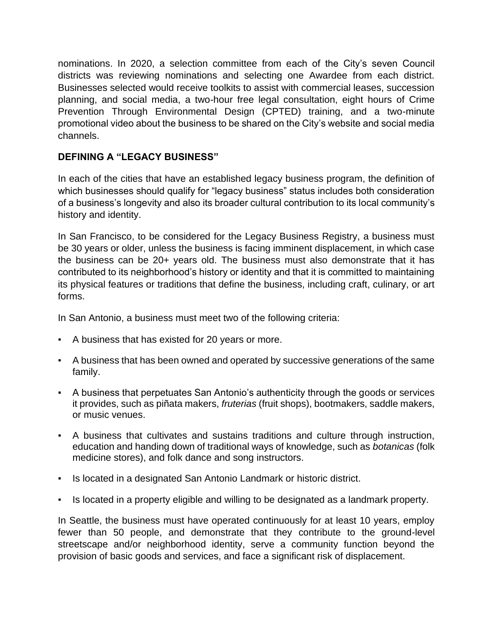nominations. In 2020, a selection committee from each of the City's seven Council districts was reviewing nominations and selecting one Awardee from each district. Businesses selected would receive toolkits to assist with commercial leases, succession planning, and social media, a two-hour free legal consultation, eight hours of Crime Prevention Through Environmental Design (CPTED) training, and a two-minute promotional video about the business to be shared on the City's website and social media channels.

## **DEFINING A "LEGACY BUSINESS"**

In each of the cities that have an established legacy business program, the definition of which businesses should qualify for "legacy business" status includes both consideration of a business's longevity and also its broader cultural contribution to its local community's history and identity.

In San Francisco, to be considered for the Legacy Business Registry, a business must be 30 years or older, unless the business is facing imminent displacement, in which case the business can be 20+ years old. The business must also demonstrate that it has contributed to its neighborhood's history or identity and that it is committed to maintaining its physical features or traditions that define the business, including craft, culinary, or art forms.

In San Antonio, a business must meet two of the following criteria:

- A business that has existed for 20 years or more.
- A business that has been owned and operated by successive generations of the same family.
- A business that perpetuates San Antonio's authenticity through the goods or services it provides, such as piñata makers, *fruterias* (fruit shops), bootmakers, saddle makers, or music venues.
- A business that cultivates and sustains traditions and culture through instruction, education and handing down of traditional ways of knowledge, such as *botanicas* (folk medicine stores), and folk dance and song instructors.
- Is located in a designated San Antonio Landmark or historic district.
- Is located in a property eligible and willing to be designated as a landmark property.

In Seattle, the business must have operated continuously for at least 10 years, employ fewer than 50 people, and demonstrate that they contribute to the ground-level streetscape and/or neighborhood identity, serve a community function beyond the provision of basic goods and services, and face a significant risk of displacement.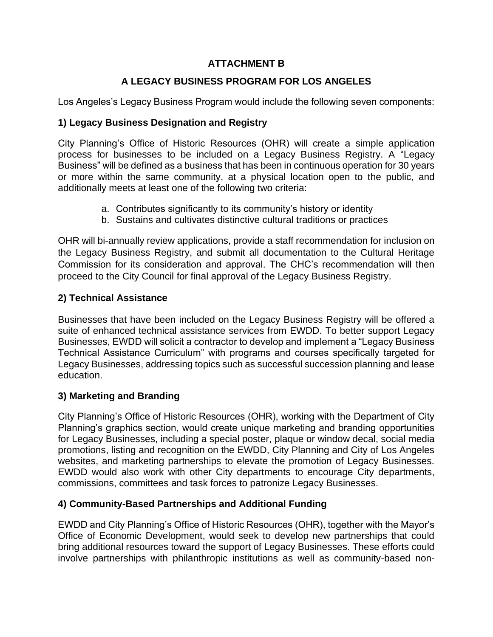## **ATTACHMENT B**

## **A LEGACY BUSINESS PROGRAM FOR LOS ANGELES**

Los Angeles's Legacy Business Program would include the following seven components:

## **1) Legacy Business Designation and Registry**

City Planning's Office of Historic Resources (OHR) will create a simple application process for businesses to be included on a Legacy Business Registry. A "Legacy Business" will be defined as a business that has been in continuous operation for 30 years or more within the same community, at a physical location open to the public, and additionally meets at least one of the following two criteria:

- a. Contributes significantly to its community's history or identity
- b. Sustains and cultivates distinctive cultural traditions or practices

OHR will bi-annually review applications, provide a staff recommendation for inclusion on the Legacy Business Registry, and submit all documentation to the Cultural Heritage Commission for its consideration and approval. The CHC's recommendation will then proceed to the City Council for final approval of the Legacy Business Registry.

## **2) Technical Assistance**

Businesses that have been included on the Legacy Business Registry will be offered a suite of enhanced technical assistance services from EWDD. To better support Legacy Businesses, EWDD will solicit a contractor to develop and implement a "Legacy Business Technical Assistance Curriculum" with programs and courses specifically targeted for Legacy Businesses, addressing topics such as successful succession planning and lease education.

## **3) Marketing and Branding**

City Planning's Office of Historic Resources (OHR), working with the Department of City Planning's graphics section, would create unique marketing and branding opportunities for Legacy Businesses, including a special poster, plaque or window decal, social media promotions, listing and recognition on the EWDD, City Planning and City of Los Angeles websites, and marketing partnerships to elevate the promotion of Legacy Businesses. EWDD would also work with other City departments to encourage City departments, commissions, committees and task forces to patronize Legacy Businesses.

## **4) Community-Based Partnerships and Additional Funding**

EWDD and City Planning's Office of Historic Resources (OHR), together with the Mayor's Office of Economic Development, would seek to develop new partnerships that could bring additional resources toward the support of Legacy Businesses. These efforts could involve partnerships with philanthropic institutions as well as community-based non-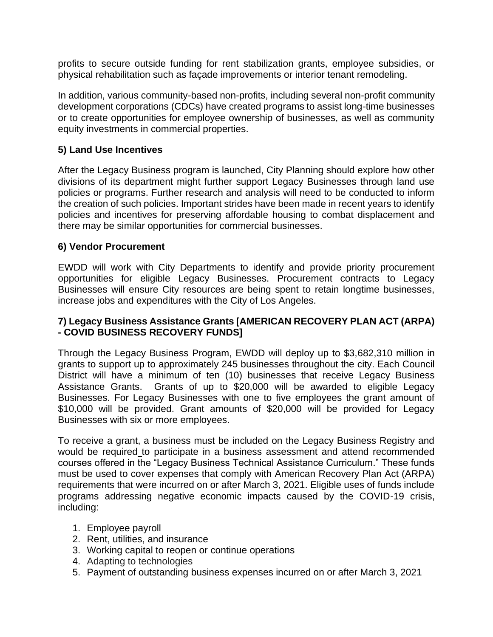profits to secure outside funding for rent stabilization grants, employee subsidies, or physical rehabilitation such as façade improvements or interior tenant remodeling.

In addition, various community-based non-profits, including several non-profit community development corporations (CDCs) have created programs to assist long-time businesses or to create opportunities for employee ownership of businesses, as well as community equity investments in commercial properties.

## **5) Land Use Incentives**

After the Legacy Business program is launched, City Planning should explore how other divisions of its department might further support Legacy Businesses through land use policies or programs. Further research and analysis will need to be conducted to inform the creation of such policies. Important strides have been made in recent years to identify policies and incentives for preserving affordable housing to combat displacement and there may be similar opportunities for commercial businesses.

#### **6) Vendor Procurement**

EWDD will work with City Departments to identify and provide priority procurement opportunities for eligible Legacy Businesses. Procurement contracts to Legacy Businesses will ensure City resources are being spent to retain longtime businesses, increase jobs and expenditures with the City of Los Angeles.

#### **7) Legacy Business Assistance Grants [AMERICAN RECOVERY PLAN ACT (ARPA) - COVID BUSINESS RECOVERY FUNDS]**

Through the Legacy Business Program, EWDD will deploy up to \$3,682,310 million in grants to support up to approximately 245 businesses throughout the city. Each Council District will have a minimum of ten (10) businesses that receive Legacy Business Assistance Grants. Grants of up to \$20,000 will be awarded to eligible Legacy Businesses. For Legacy Businesses with one to five employees the grant amount of \$10,000 will be provided. Grant amounts of \$20,000 will be provided for Legacy Businesses with six or more employees.

To receive a grant, a business must be included on the Legacy Business Registry and would be required to participate in a business assessment and attend recommended courses offered in the "Legacy Business Technical Assistance Curriculum." These funds must be used to cover expenses that comply with American Recovery Plan Act (ARPA) requirements that were incurred on or after March 3, 2021. Eligible uses of funds include programs addressing negative economic impacts caused by the COVID-19 crisis, including:

- 1. Employee payroll
- 2. Rent, utilities, and insurance
- 3. Working capital to reopen or continue operations
- 4. Adapting to technologies
- 5. Payment of outstanding business expenses incurred on or after March 3, 2021